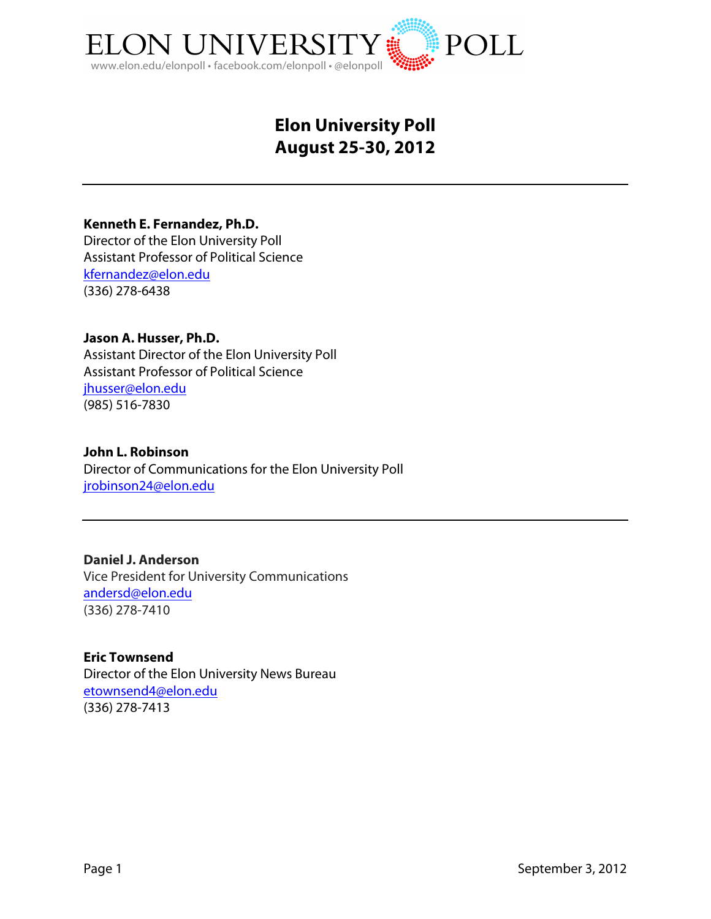

# **Elon University Poll August 25-30, 2012**

**Kenneth E. Fernandez, Ph.D.**

Director of the Elon University Poll Assistant Professor of Political Science kfernandez@elon.edu (336) 278-6438

**Jason A. Husser, Ph.D.** Assistant Director of the Elon University Poll Assistant Professor of Political Science jhusser@elon.edu (985) 516-7830

#### **John L. Robinson**

Director of Communications for the Elon University Poll jrobinson24@elon.edu

**Daniel J. Anderson** Vice President for University Communications andersd@elon.edu (336) 278-7410

**Eric Townsend** Director of the Elon University News Bureau etownsend4@elon.edu (336) 278-7413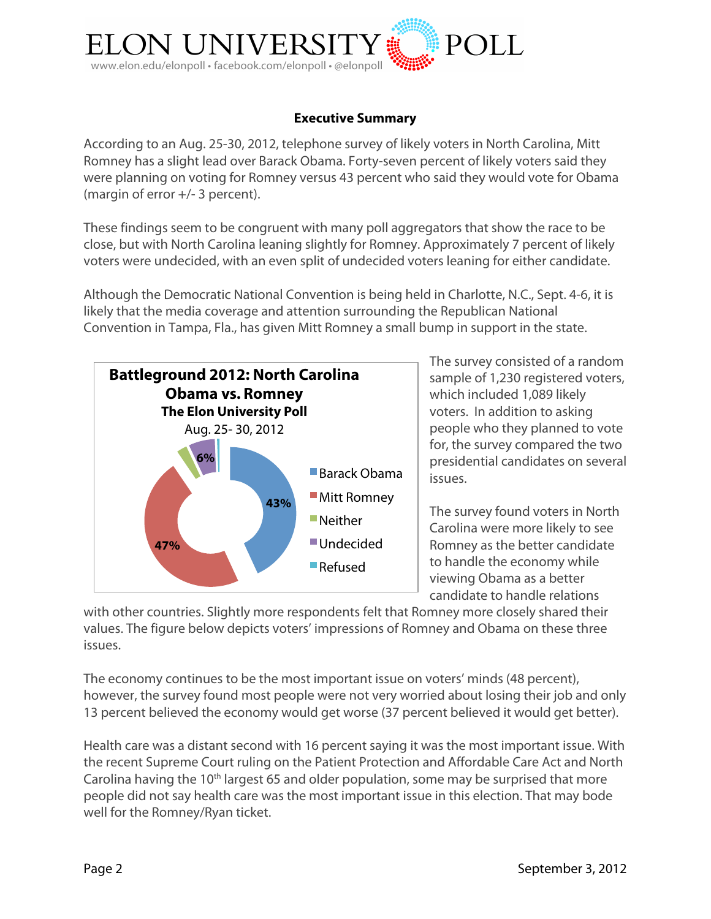

### **Executive Summary**

According to an Aug. 25-30, 2012, telephone survey of likely voters in North Carolina, Mitt Romney has a slight lead over Barack Obama. Forty-seven percent of likely voters said they were planning on voting for Romney versus 43 percent who said they would vote for Obama (margin of error +/- 3 percent).

These findings seem to be congruent with many poll aggregators that show the race to be close, but with North Carolina leaning slightly for Romney. Approximately 7 percent of likely voters were undecided, with an even split of undecided voters leaning for either candidate.

Although the Democratic National Convention is being held in Charlotte, N.C., Sept. 4-6, it is likely that the media coverage and attention surrounding the Republican National Convention in Tampa, Fla., has given Mitt Romney a small bump in support in the state.



The survey consisted of a random sample of 1,230 registered voters, which included 1,089 likely voters. In addition to asking people who they planned to vote for, the survey compared the two presidential candidates on several issues.

The survey found voters in North Carolina were more likely to see Romney as the better candidate to handle the economy while viewing Obama as a better candidate to handle relations

with other countries. Slightly more respondents felt that Romney more closely shared their values. The figure below depicts voters' impressions of Romney and Obama on these three issues.

The economy continues to be the most important issue on voters' minds (48 percent), however, the survey found most people were not very worried about losing their job and only 13 percent believed the economy would get worse (37 percent believed it would get better).

Health care was a distant second with 16 percent saying it was the most important issue. With the recent Supreme Court ruling on the Patient Protection and Affordable Care Act and North Carolina having the 10<sup>th</sup> largest 65 and older population, some may be surprised that more people did not say health care was the most important issue in this election. That may bode well for the Romney/Ryan ticket.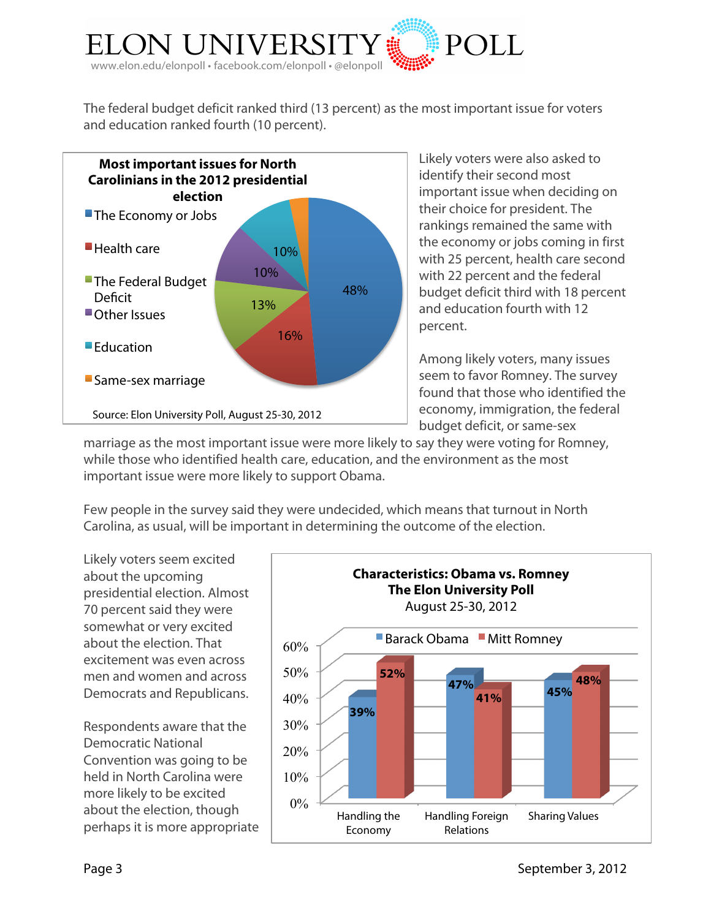

The federal budget deficit ranked third (13 percent) as the most important issue for voters and education ranked fourth (10 percent).



Likely voters were also asked to identify their second most important issue when deciding on their choice for president. The rankings remained the same with the economy or jobs coming in first with 25 percent, health care second with 22 percent and the federal budget deficit third with 18 percent and education fourth with 12 percent.

Among likely voters, many issues seem to favor Romney. The survey found that those who identified the economy, immigration, the federal budget deficit, or same-sex

marriage as the most important issue were more likely to say they were voting for Romney, while those who identified health care, education, and the environment as the most important issue were more likely to support Obama.

Few people in the survey said they were undecided, which means that turnout in North Carolina, as usual, will be important in determining the outcome of the election.

Likely voters seem excited about the upcoming presidential election. Almost 70 percent said they were somewhat or very excited about the election. That excitement was even across men and women and across Democrats and Republicans.

Respondents aware that the Democratic National Convention was going to be held in North Carolina were more likely to be excited about the election, though perhaps it is more appropriate

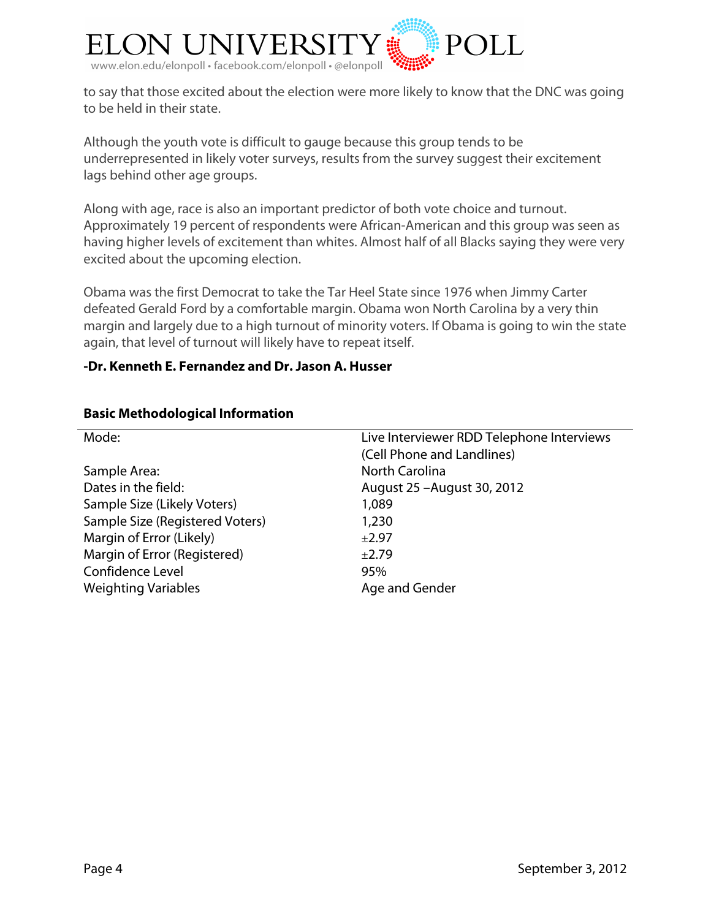

to say that those excited about the election were more likely to know that the DNC was going to be held in their state.

Although the youth vote is difficult to gauge because this group tends to be underrepresented in likely voter surveys, results from the survey suggest their excitement lags behind other age groups.

Along with age, race is also an important predictor of both vote choice and turnout. Approximately 19 percent of respondents were African-American and this group was seen as having higher levels of excitement than whites. Almost half of all Blacks saying they were very excited about the upcoming election.

Obama was the first Democrat to take the Tar Heel State since 1976 when Jimmy Carter defeated Gerald Ford by a comfortable margin. Obama won North Carolina by a very thin margin and largely due to a high turnout of minority voters. If Obama is going to win the state again, that level of turnout will likely have to repeat itself.

### **-Dr. Kenneth E. Fernandez and Dr. Jason A. Husser**

| Mode:                           | Live Interviewer RDD Telephone Interviews |
|---------------------------------|-------------------------------------------|
|                                 | (Cell Phone and Landlines)                |
| Sample Area:                    | <b>North Carolina</b>                     |
| Dates in the field:             | August 25 - August 30, 2012               |
| Sample Size (Likely Voters)     | 1,089                                     |
| Sample Size (Registered Voters) | 1,230                                     |
| Margin of Error (Likely)        | ±2.97                                     |
| Margin of Error (Registered)    | ±2.79                                     |
| Confidence Level                | 95%                                       |
| <b>Weighting Variables</b>      | Age and Gender                            |
|                                 |                                           |

#### **Basic Methodological Information**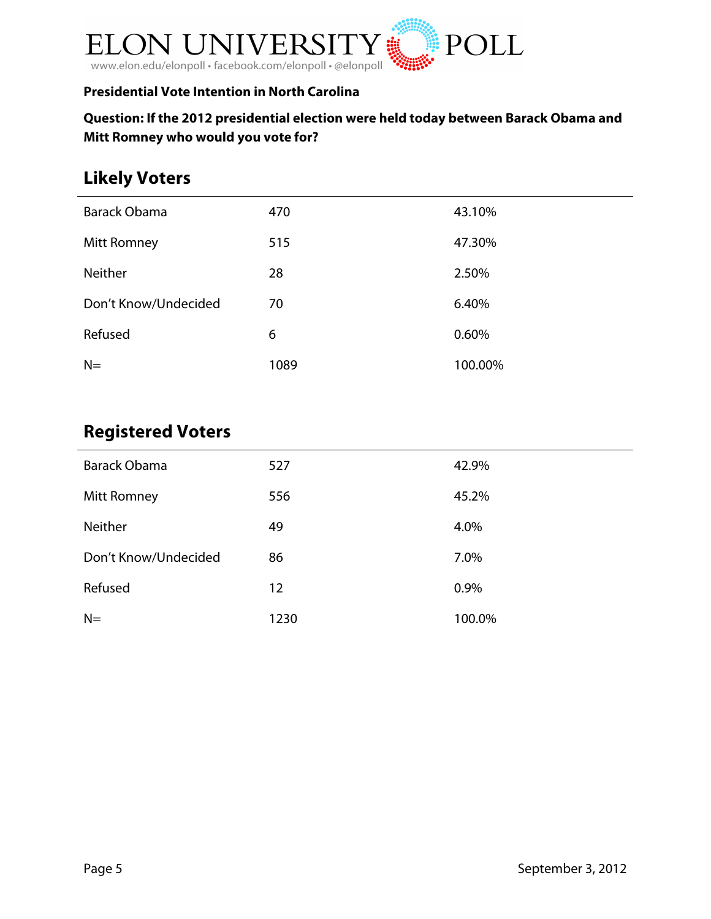

# **Presidential Vote Intention in North Carolina**

# **Question: If the 2012 presidential election were held today between Barack Obama and Mitt Romney who would you vote for?**

# **Likely Voters**

| Barack Obama         | 470  | 43.10%  |
|----------------------|------|---------|
| <b>Mitt Romney</b>   | 515  | 47.30%  |
| Neither              | 28   | 2.50%   |
| Don't Know/Undecided | 70   | 6.40%   |
| Refused              | 6    | 0.60%   |
| $N=$                 | 1089 | 100.00% |
|                      |      |         |

# **Registered Voters**

| <b>Barack Obama</b>  | 527  | 42.9%  |
|----------------------|------|--------|
| <b>Mitt Romney</b>   | 556  | 45.2%  |
| Neither              | 49   | 4.0%   |
| Don't Know/Undecided | 86   | 7.0%   |
| Refused              | 12   | 0.9%   |
| $N=$                 | 1230 | 100.0% |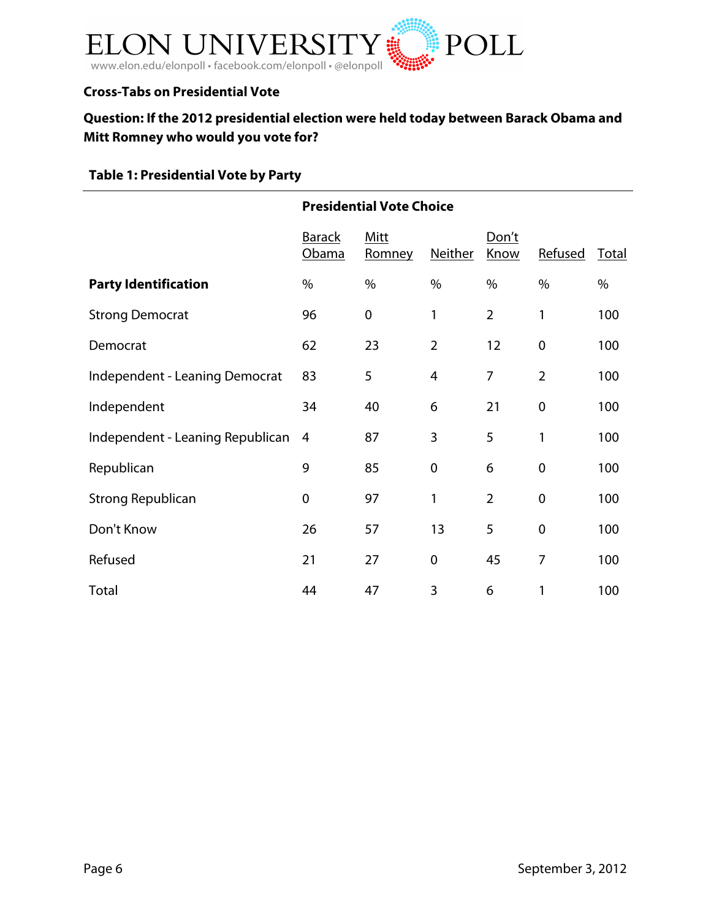

### **Cross-Tabs on Presidential Vote**

# **Question: If the 2012 presidential election were held today between Barack Obama and Mitt Romney who would you vote for?**

# **Table 1: Presidential Vote by Party**

|                                       | <b>Presidential Vote Choice</b> |                |                  |                |                |       |
|---------------------------------------|---------------------------------|----------------|------------------|----------------|----------------|-------|
|                                       | <b>Barack</b><br>Obama          | Mitt<br>Romney | Neither          | Don't<br>Know  | Refused        | Total |
| <b>Party Identification</b>           | $\%$                            | $\%$           | $\%$             | $\%$           | $\%$           | %     |
| <b>Strong Democrat</b>                | 96                              | $\mathbf 0$    | 1                | $\overline{2}$ | 1              | 100   |
| Democrat                              | 62                              | 23             | $\overline{2}$   | 12             | 0              | 100   |
| <b>Independent - Leaning Democrat</b> | 83                              | 5              | $\overline{4}$   | $\overline{7}$ | $\overline{2}$ | 100   |
| Independent                           | 34                              | 40             | 6                | 21             | $\mathbf 0$    | 100   |
| Independent - Leaning Republican      | 4                               | 87             | 3                | 5              | 1              | 100   |
| Republican                            | 9                               | 85             | $\mathbf 0$      | 6              | $\mathbf 0$    | 100   |
| <b>Strong Republican</b>              | $\mathbf 0$                     | 97             | 1                | $\overline{2}$ | $\pmb{0}$      | 100   |
| Don't Know                            | 26                              | 57             | 13               | 5              | $\mathbf 0$    | 100   |
| Refused                               | 21                              | 27             | $\boldsymbol{0}$ | 45             | $\overline{7}$ | 100   |
| Total                                 | 44                              | 47             | 3                | 6              | 1              | 100   |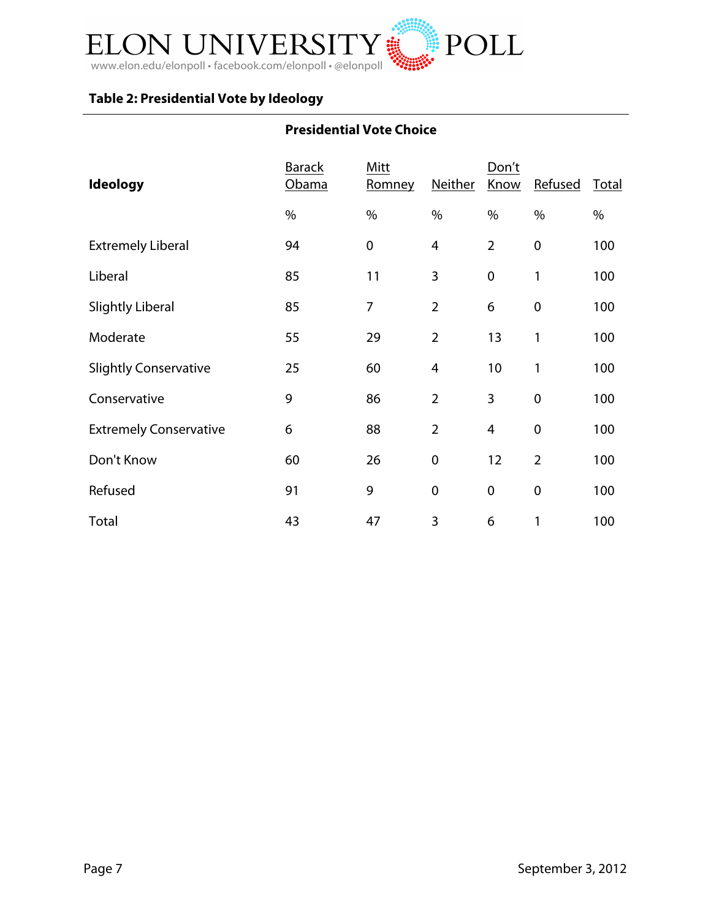

# **Table 2: Presidential Vote by Ideology**

# **Presidential Vote Choice**

| <b>Ideology</b>               | <b>Barack</b><br>Obama | Mitt<br>Romney | Neither                 | Don't<br>Know  | Refused          | Total |
|-------------------------------|------------------------|----------------|-------------------------|----------------|------------------|-------|
|                               | $\%$                   | $\%$           | $\%$                    | $\%$           | $\%$             | $\%$  |
| <b>Extremely Liberal</b>      | 94                     | $\pmb{0}$      | $\overline{\mathbf{4}}$ | $\overline{2}$ | $\boldsymbol{0}$ | 100   |
| Liberal                       | 85                     | 11             | 3                       | $\mathbf 0$    | 1                | 100   |
| <b>Slightly Liberal</b>       | 85                     | 7              | $\overline{2}$          | 6              | $\boldsymbol{0}$ | 100   |
| Moderate                      | 55                     | 29             | $\overline{2}$          | 13             | 1                | 100   |
| <b>Slightly Conservative</b>  | 25                     | 60             | $\overline{4}$          | 10             | 1                | 100   |
| Conservative                  | 9                      | 86             | $\overline{2}$          | 3              | $\mathbf 0$      | 100   |
| <b>Extremely Conservative</b> | 6                      | 88             | $\overline{2}$          | 4              | $\mathbf 0$      | 100   |
| Don't Know                    | 60                     | 26             | $\pmb{0}$               | 12             | $\overline{2}$   | 100   |
| Refused                       | 91                     | 9              | $\pmb{0}$               | $\mathbf 0$    | $\mathbf 0$      | 100   |
| Total                         | 43                     | 47             | 3                       | 6              | 1                | 100   |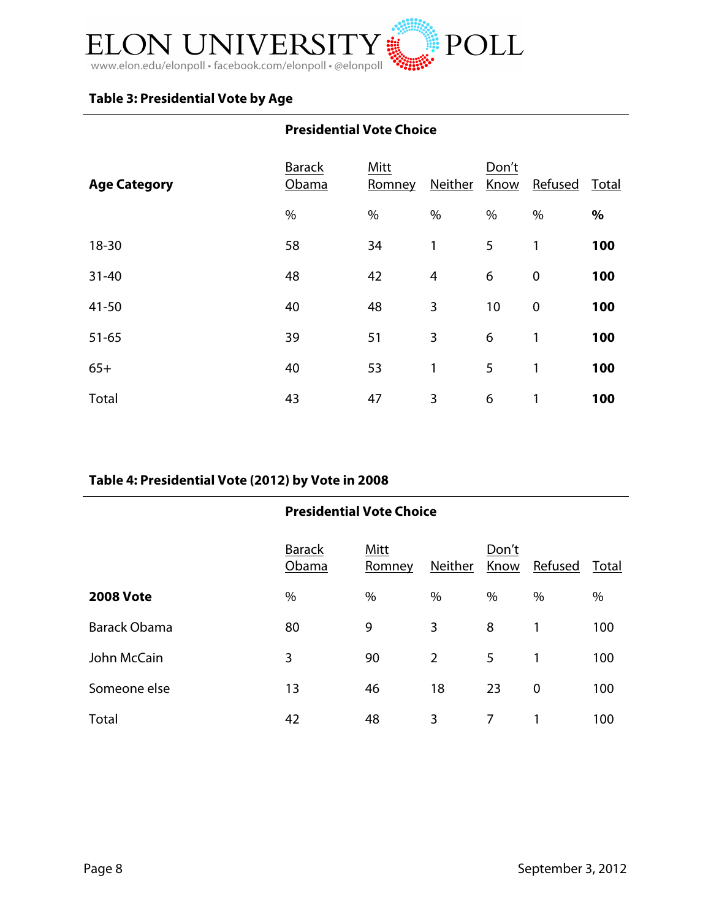

# **Table 3: Presidential Vote by Age**

# **Presidential Vote Choice**

| <b>Age Category</b> | <b>Barack</b><br>Obama | Mitt<br>Romney | Neither | Don't<br>Know | Refused          | Total |
|---------------------|------------------------|----------------|---------|---------------|------------------|-------|
|                     | $\%$                   | $\%$           | $\%$    | $\%$          | $\%$             | $\%$  |
| $18 - 30$           | 58                     | 34             | 1       | 5             | 1                | 100   |
| $31 - 40$           | 48                     | 42             | 4       | 6             | $\boldsymbol{0}$ | 100   |
| $41 - 50$           | 40                     | 48             | 3       | 10            | $\mathbf 0$      | 100   |
| $51 - 65$           | 39                     | 51             | 3       | 6             | 1                | 100   |
| $65+$               | 40                     | 53             | 1       | 5             | 1                | 100   |
| Total               | 43                     | 47             | 3       | 6             | 1                | 100   |

### **Table 4: Presidential Vote (2012) by Vote in 2008**

#### **Presidential Vote Choice** Barack Mitt Don't

|                  | ------<br>Obama | .<br>Romney | <b>Neither</b> | ----<br>Know | Refused | Total |
|------------------|-----------------|-------------|----------------|--------------|---------|-------|
| <b>2008 Vote</b> | %               | $\%$        | $\%$           | %            | %       | %     |
| Barack Obama     | 80              | 9           | 3              | 8            |         | 100   |
| John McCain      | 3               | 90          | $\overline{2}$ | 5            |         | 100   |
| Someone else     | 13              | 46          | 18             | 23           | 0       | 100   |
| Total            | 42              | 48          | 3              |              |         | 100   |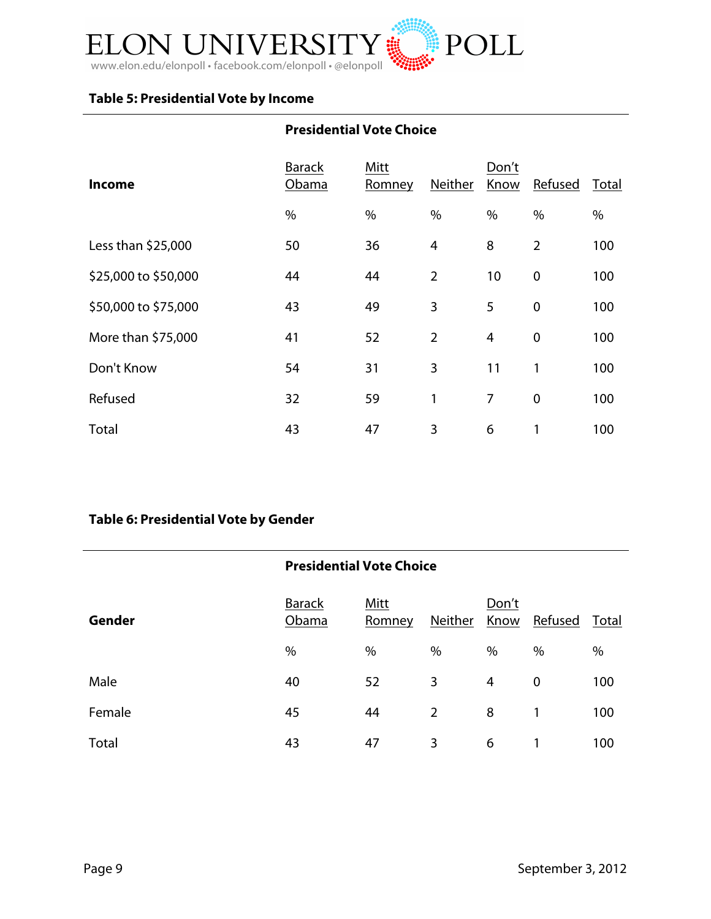

# **Table 5: Presidential Vote by Income**

# **Presidential Vote Choice**

| <b>Income</b>        | <b>Barack</b><br>Obama | Mitt<br>Romney | Neither        | Don't<br>Know  | Refused        | Total |
|----------------------|------------------------|----------------|----------------|----------------|----------------|-------|
|                      | $\%$                   | $\%$           | $\%$           | $\%$           | $\%$           | $\%$  |
| Less than \$25,000   | 50                     | 36             | 4              | 8              | $\overline{2}$ | 100   |
| \$25,000 to \$50,000 | 44                     | 44             | $\overline{2}$ | 10             | $\mathbf 0$    | 100   |
| \$50,000 to \$75,000 | 43                     | 49             | 3              | 5              | $\mathbf 0$    | 100   |
| More than \$75,000   | 41                     | 52             | $\overline{2}$ | $\overline{4}$ | $\mathbf 0$    | 100   |
| Don't Know           | 54                     | 31             | 3              | 11             | 1              | 100   |
| Refused              | 32                     | 59             | 1              | 7              | $\mathbf 0$    | 100   |
| Total                | 43                     | 47             | 3              | 6              | 1              | 100   |

# **Table 6: Presidential Vote by Gender**

|               | <b>Presidential Vote Choice</b> |                       |                |                |         |       |  |  |
|---------------|---------------------------------|-----------------------|----------------|----------------|---------|-------|--|--|
| <b>Gender</b> | <b>Barack</b><br>Obama          | <b>Mitt</b><br>Romney | Neither        | Don't<br>Know  | Refused | Total |  |  |
|               | $\%$                            | $\%$                  | $\%$           | $\%$           | $\%$    | $\%$  |  |  |
| Male          | 40                              | 52                    | 3              | $\overline{4}$ | 0       | 100   |  |  |
| Female        | 45                              | 44                    | $\overline{2}$ | 8              | 1       | 100   |  |  |
| Total         | 43                              | 47                    | 3              | 6              | 1       | 100   |  |  |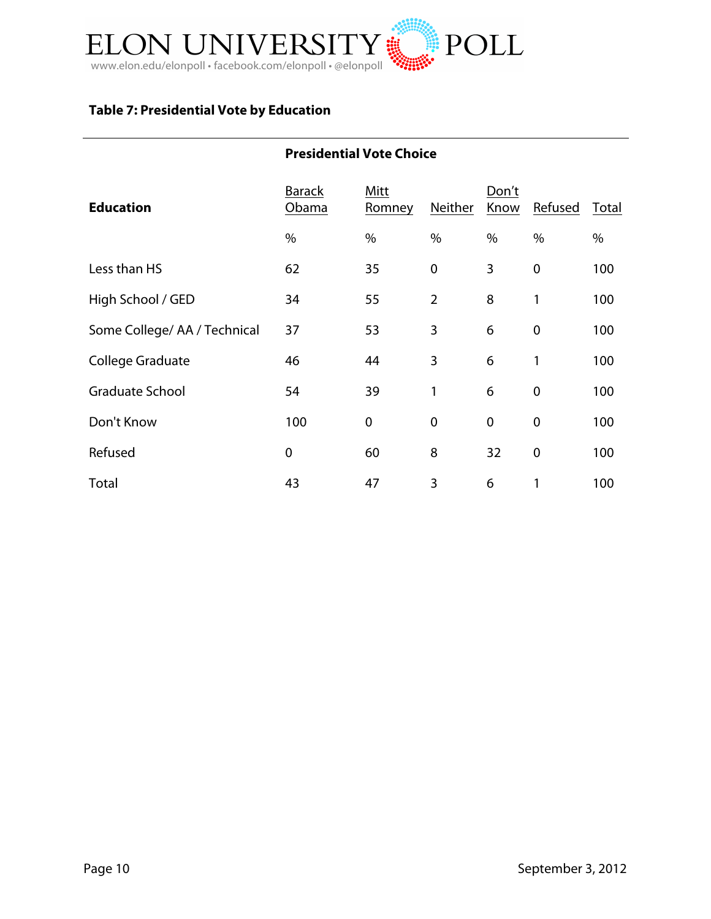

# **Table 7: Presidential Vote by Education**

### **Presidential Vote Choice**

| <b>Education</b>            | <b>Barack</b><br>Obama | Mitt<br>Romney | Neither          | Don't<br>Know | Refused     | Total |
|-----------------------------|------------------------|----------------|------------------|---------------|-------------|-------|
|                             | %                      | $\%$           | $\%$             | $\%$          | $\%$        | %     |
| Less than HS                | 62                     | 35             | $\boldsymbol{0}$ | 3             | $\mathbf 0$ | 100   |
| High School / GED           | 34                     | 55             | $\overline{2}$   | 8             | 1           | 100   |
| Some College/AA / Technical | 37                     | 53             | 3                | 6             | $\mathbf 0$ | 100   |
| College Graduate            | 46                     | 44             | 3                | 6             | 1           | 100   |
| <b>Graduate School</b>      | 54                     | 39             | 1                | 6             | $\mathbf 0$ | 100   |
| Don't Know                  | 100                    | $\mathbf 0$    | $\boldsymbol{0}$ | $\mathbf 0$   | $\mathbf 0$ | 100   |
| Refused                     | $\mathbf 0$            | 60             | 8                | 32            | $\mathbf 0$ | 100   |
| Total                       | 43                     | 47             | 3                | 6             | 1           | 100   |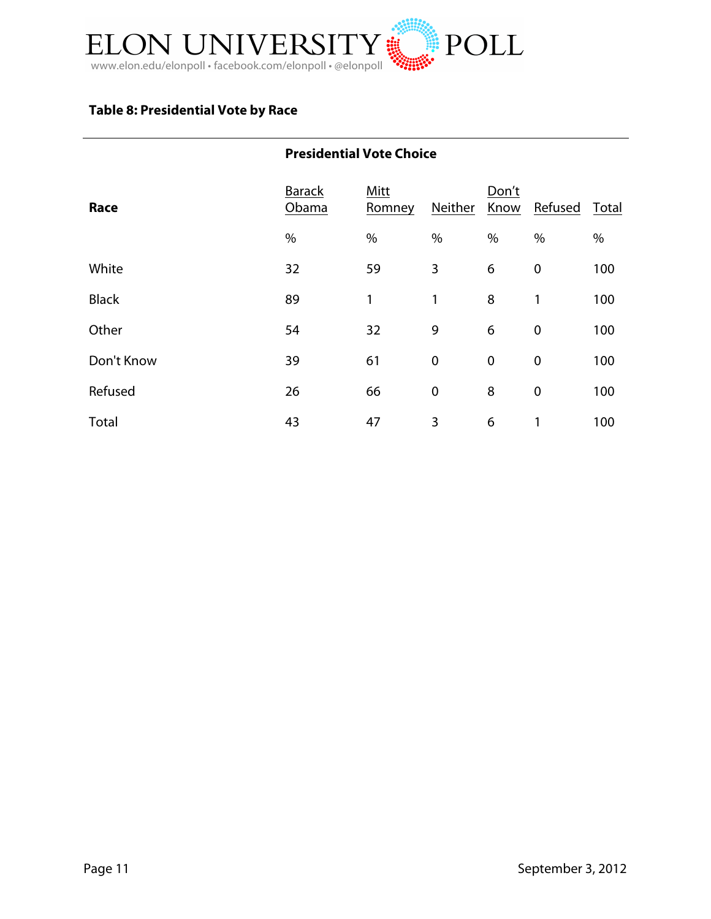

# **Table 8: Presidential Vote by Race**

### **Presidential Vote Choice**

| Race         | <b>Barack</b><br>Obama | Mitt<br>Romney | Neither          | Don't<br>Know    | Refused          | Total |
|--------------|------------------------|----------------|------------------|------------------|------------------|-------|
|              | $\%$                   | $\%$           | $\%$             | $\%$             | $\%$             | %     |
| White        | 32                     | 59             | 3                | 6                | $\boldsymbol{0}$ | 100   |
| <b>Black</b> | 89                     | 1              | 1                | 8                | 1                | 100   |
| Other        | 54                     | 32             | 9                | 6                | $\mathbf 0$      | 100   |
| Don't Know   | 39                     | 61             | $\boldsymbol{0}$ | $\boldsymbol{0}$ | $\boldsymbol{0}$ | 100   |
| Refused      | 26                     | 66             | $\mathbf 0$      | 8                | $\boldsymbol{0}$ | 100   |
| Total        | 43                     | 47             | 3                | 6                | 1                | 100   |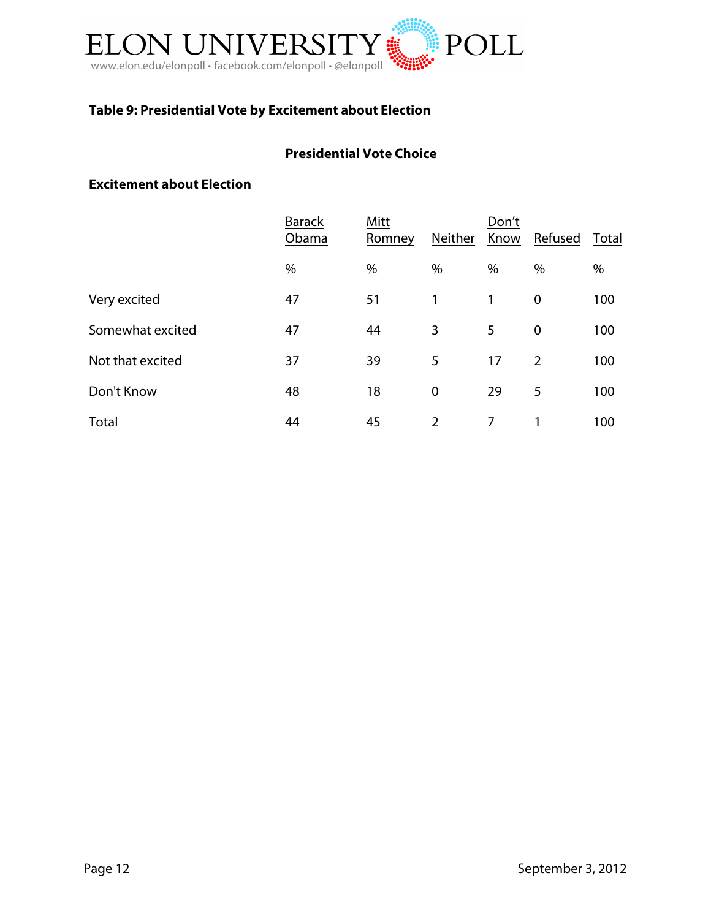

# **Table 9: Presidential Vote by Excitement about Election**

#### **Presidential Vote Choice**

#### **Excitement about Election**

|                  | <b>Barack</b><br>Obama | Mitt<br>Romney | <b>Neither</b> | Don't<br>Know | Refused        | Total |
|------------------|------------------------|----------------|----------------|---------------|----------------|-------|
|                  | $\%$                   | $\%$           | $\%$           | $\%$          | %              | $\%$  |
| Very excited     | 47                     | 51             | 1              | 1             | $\mathbf 0$    | 100   |
| Somewhat excited | 47                     | 44             | 3              | 5             | $\mathbf 0$    | 100   |
| Not that excited | 37                     | 39             | 5              | 17            | $\overline{2}$ | 100   |
| Don't Know       | 48                     | 18             | $\mathbf 0$    | 29            | 5              | 100   |
| Total            | 44                     | 45             | $\overline{2}$ | 7             |                | 100   |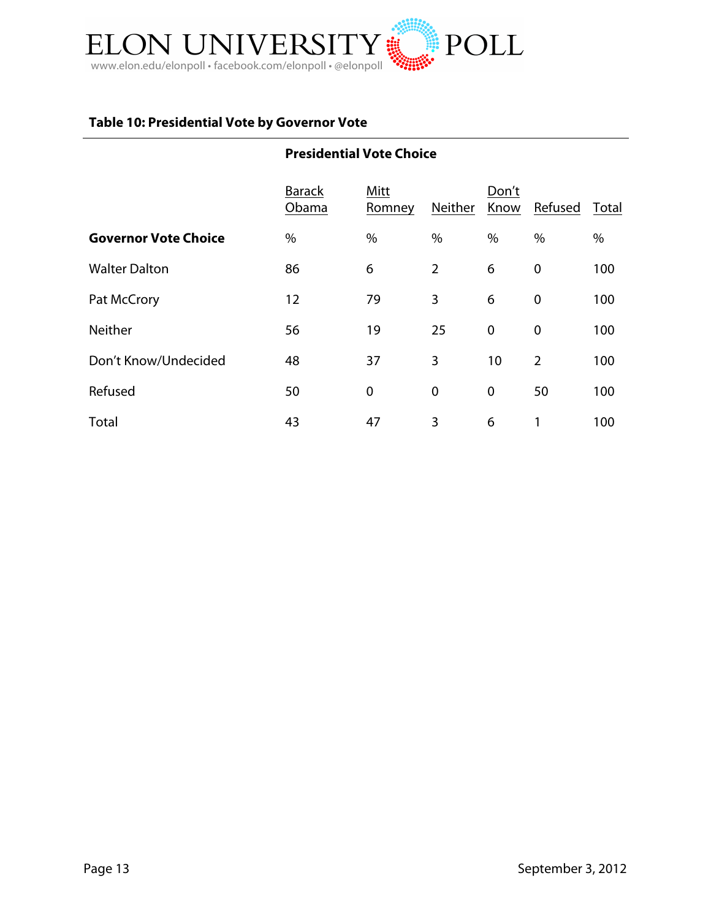

# **Table 10: Presidential Vote by Governor Vote**

|                             | <b>Presidential Vote Choice</b> |                |                |                  |                |       |
|-----------------------------|---------------------------------|----------------|----------------|------------------|----------------|-------|
|                             | <b>Barack</b><br>Obama          | Mitt<br>Romney | Neither        | Don't<br>Know    | Refused        | Total |
| <b>Governor Vote Choice</b> | $\%$                            | %              | $\%$           | %                | $\%$           | %     |
| <b>Walter Dalton</b>        | 86                              | 6              | $\overline{2}$ | 6                | $\mathbf 0$    | 100   |
| Pat McCrory                 | 12                              | 79             | 3              | 6                | $\mathbf 0$    | 100   |
| <b>Neither</b>              | 56                              | 19             | 25             | $\boldsymbol{0}$ | $\mathbf 0$    | 100   |
| Don't Know/Undecided        | 48                              | 37             | 3              | 10               | $\overline{2}$ | 100   |
| Refused                     | 50                              | $\mathbf 0$    | $\mathbf 0$    | $\mathbf 0$      | 50             | 100   |
| Total                       | 43                              | 47             | 3              | 6                | 1              | 100   |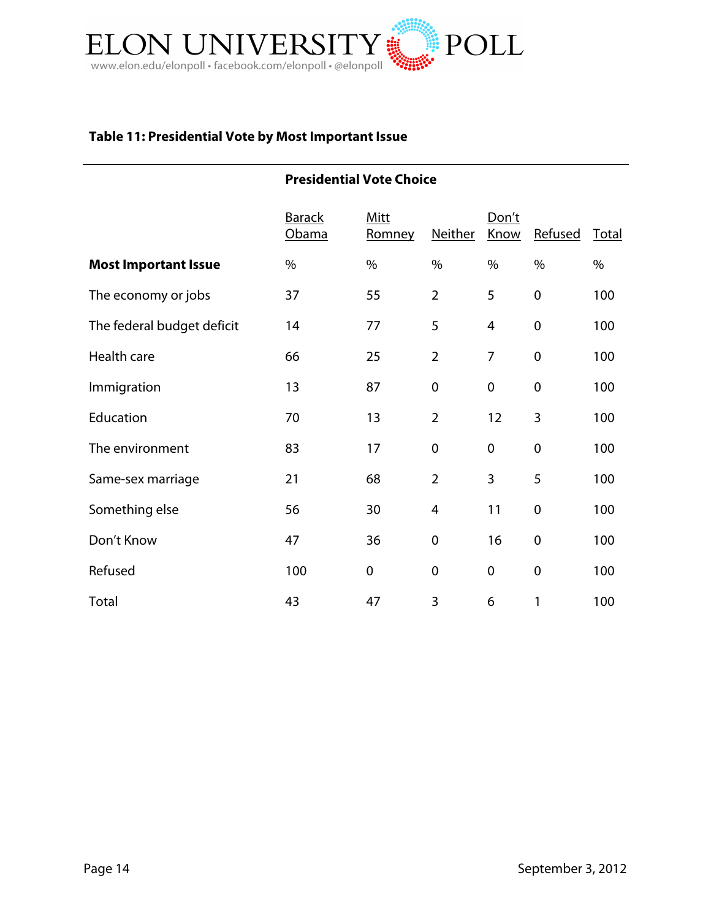

# **Table 11: Presidential Vote by Most Important Issue**

|                             | <b>Presidential Vote Choice</b> |                |                |               |                  |       |
|-----------------------------|---------------------------------|----------------|----------------|---------------|------------------|-------|
|                             | <b>Barack</b><br>Obama          | Mitt<br>Romney | Neither        | Don't<br>Know | Refused          | Total |
| <b>Most Important Issue</b> | $\%$                            | $\%$           | $\%$           | $\%$          | $\%$             | $\%$  |
| The economy or jobs         | 37                              | 55             | $\overline{2}$ | 5             | $\mathbf 0$      | 100   |
| The federal budget deficit  | 14                              | 77             | 5              | 4             | $\mathbf 0$      | 100   |
| Health care                 | 66                              | 25             | $\overline{2}$ | 7             | $\boldsymbol{0}$ | 100   |
| Immigration                 | 13                              | 87             | $\mathbf 0$    | $\mathbf 0$   | $\mathbf 0$      | 100   |
| Education                   | 70                              | 13             | $\overline{2}$ | 12            | 3                | 100   |
| The environment             | 83                              | 17             | $\pmb{0}$      | $\mathbf 0$   | $\mathbf 0$      | 100   |
| Same-sex marriage           | 21                              | 68             | $\overline{2}$ | 3             | 5                | 100   |
| Something else              | 56                              | 30             | $\overline{4}$ | 11            | $\boldsymbol{0}$ | 100   |
| Don't Know                  | 47                              | 36             | $\mathbf 0$    | 16            | $\mathbf 0$      | 100   |
| Refused                     | 100                             | $\mathbf 0$    | $\mathbf 0$    | $\mathbf 0$   | $\mathbf 0$      | 100   |
| Total                       | 43                              | 47             | 3              | 6             | 1                | 100   |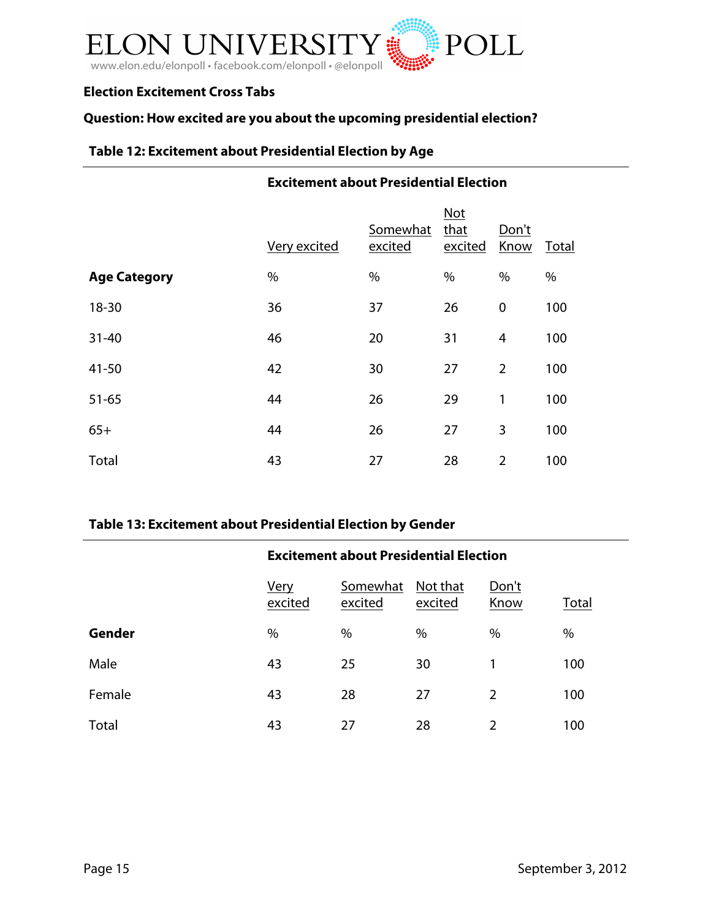

### **Election Excitement Cross Tabs**

# **Question: How excited are you about the upcoming presidential election?**

### **Table 12: Excitement about Presidential Election by Age**

#### **Excitement about Presidential Election**

|                     | Very excited | Somewhat<br>excited | <b>Not</b><br>that<br>excited | Don't<br>Know  | Total |
|---------------------|--------------|---------------------|-------------------------------|----------------|-------|
| <b>Age Category</b> | %            | $\%$                | $\%$                          | $\%$           | %     |
| 18-30               | 36           | 37                  | 26                            | $\mathbf 0$    | 100   |
| $31 - 40$           | 46           | 20                  | 31                            | $\overline{4}$ | 100   |
| $41 - 50$           | 42           | 30                  | 27                            | $\overline{2}$ | 100   |
| $51 - 65$           | 44           | 26                  | 29                            | 1              | 100   |
| $65+$               | 44           | 26                  | 27                            | 3              | 100   |
| Total               | 43           | 27                  | 28                            | $\overline{2}$ | 100   |

#### **Table 13: Excitement about Presidential Election by Gender**

|        | <b>Excitement about Presidential Election</b> |                     |                     |               |       |
|--------|-----------------------------------------------|---------------------|---------------------|---------------|-------|
|        | <u>Very</u><br>excited                        | Somewhat<br>excited | Not that<br>excited | Don't<br>Know | Total |
| Gender | $\%$                                          | %                   | $\%$                | $\%$          | $\%$  |
| Male   | 43                                            | 25                  | 30                  | 1             | 100   |
| Female | 43                                            | 28                  | 27                  | 2             | 100   |
| Total  | 43                                            | 27                  | 28                  | 2             | 100   |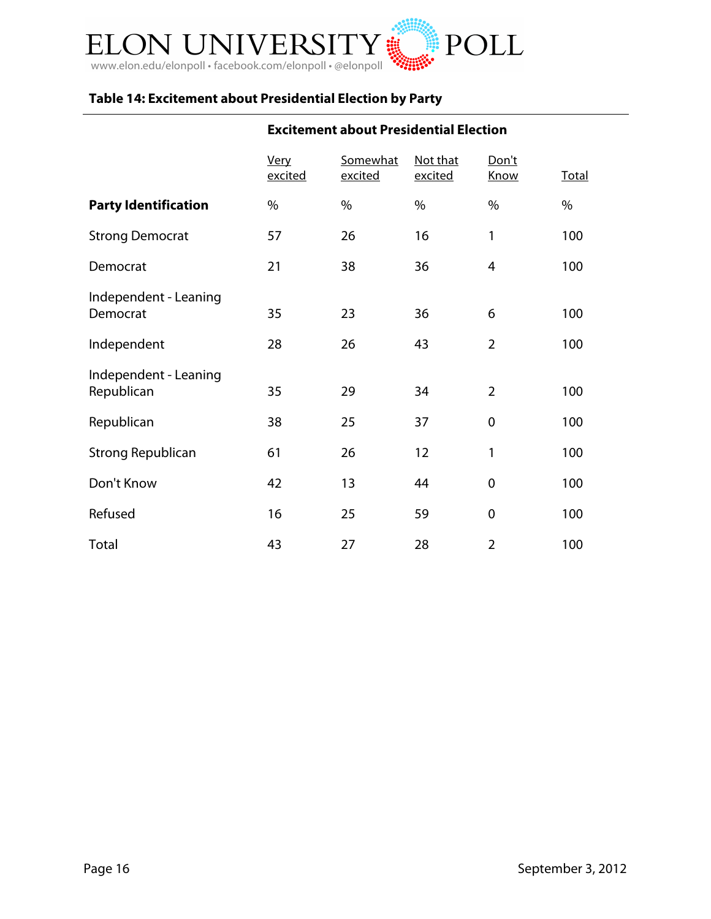

# **Table 14: Excitement about Presidential Election by Party**

# **Excitement about Presidential Election**

|                                     | Very<br>excited | Somewhat<br>excited | Not that<br>excited | Don't<br><b>Know</b> | <b>Total</b> |
|-------------------------------------|-----------------|---------------------|---------------------|----------------------|--------------|
| <b>Party Identification</b>         | $\%$            | %                   | %                   | %                    | $\%$         |
| <b>Strong Democrat</b>              | 57              | 26                  | 16                  | 1                    | 100          |
| Democrat                            | 21              | 38                  | 36                  | 4                    | 100          |
| Independent - Leaning<br>Democrat   | 35              | 23                  | 36                  | 6                    | 100          |
| Independent                         | 28              | 26                  | 43                  | $\overline{2}$       | 100          |
| Independent - Leaning<br>Republican | 35              | 29                  | 34                  | $\overline{2}$       | 100          |
| Republican                          | 38              | 25                  | 37                  | $\mathbf 0$          | 100          |
| <b>Strong Republican</b>            | 61              | 26                  | 12                  | 1                    | 100          |
| Don't Know                          | 42              | 13                  | 44                  | $\mathbf 0$          | 100          |
| Refused                             | 16              | 25                  | 59                  | $\boldsymbol{0}$     | 100          |
| Total                               | 43              | 27                  | 28                  | $\overline{2}$       | 100          |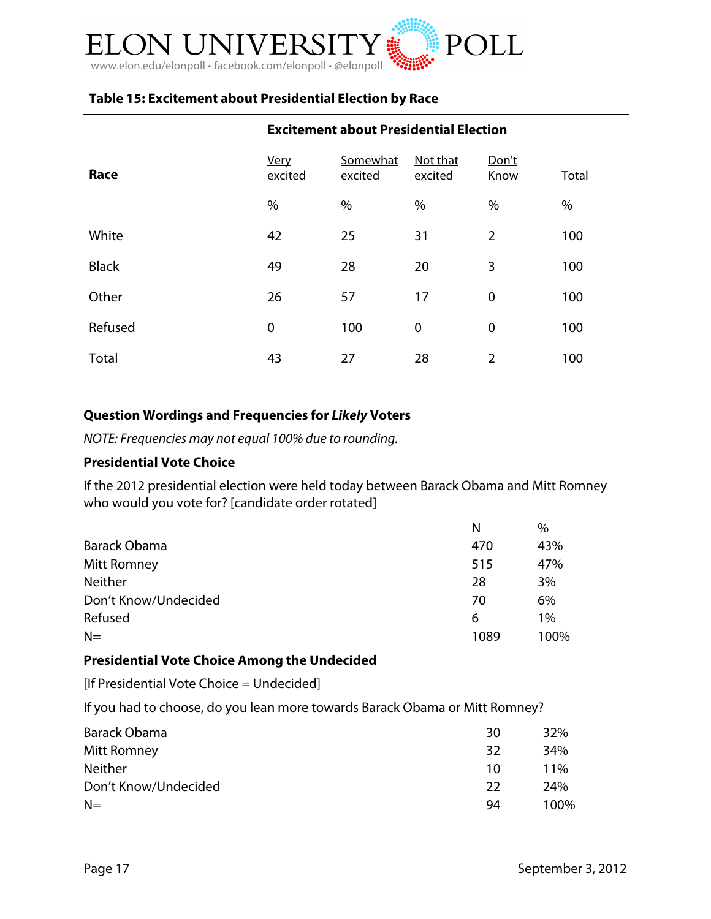

# **Table 15: Excitement about Presidential Election by Race**

| Race         | Very<br>excited | Somewhat<br>excited | Not that<br>excited | Don't<br>Know  | Total |
|--------------|-----------------|---------------------|---------------------|----------------|-------|
|              | $\%$            | $\%$                | $\%$                | $\%$           | $\%$  |
| White        | 42              | 25                  | 31                  | $\overline{2}$ | 100   |
| <b>Black</b> | 49              | 28                  | 20                  | 3              | 100   |
| Other        | 26              | 57                  | 17                  | $\mathbf 0$    | 100   |
| Refused      | 0               | 100                 | $\mathbf 0$         | $\mathbf 0$    | 100   |
| Total        | 43              | 27                  | 28                  | $\overline{2}$ | 100   |

#### **Excitement about Presidential Election**

### **Question Wordings and Frequencies for** *Likely* **Voters**

*NOTE: Frequencies may not equal 100% due to rounding.*

#### **Presidential Vote Choice**

If the 2012 presidential election were held today between Barack Obama and Mitt Romney who would you vote for? [candidate order rotated]

|                      | N    | %     |
|----------------------|------|-------|
| Barack Obama         | 470  | 43%   |
| Mitt Romney          | 515  | 47%   |
| <b>Neither</b>       | 28   | 3%    |
| Don't Know/Undecided | 70   | 6%    |
| Refused              | 6    | $1\%$ |
| $N=$                 | 1089 | 100%  |

### **Presidential Vote Choice Among the Undecided**

[If Presidential Vote Choice = Undecided]

If you had to choose, do you lean more towards Barack Obama or Mitt Romney?

| Barack Obama         | 30 | 32%    |
|----------------------|----|--------|
| Mitt Romney          | 32 | 34%    |
| <b>Neither</b>       | 10 | $11\%$ |
| Don't Know/Undecided | 22 | 24%    |
| $N=$                 | 94 | 100%   |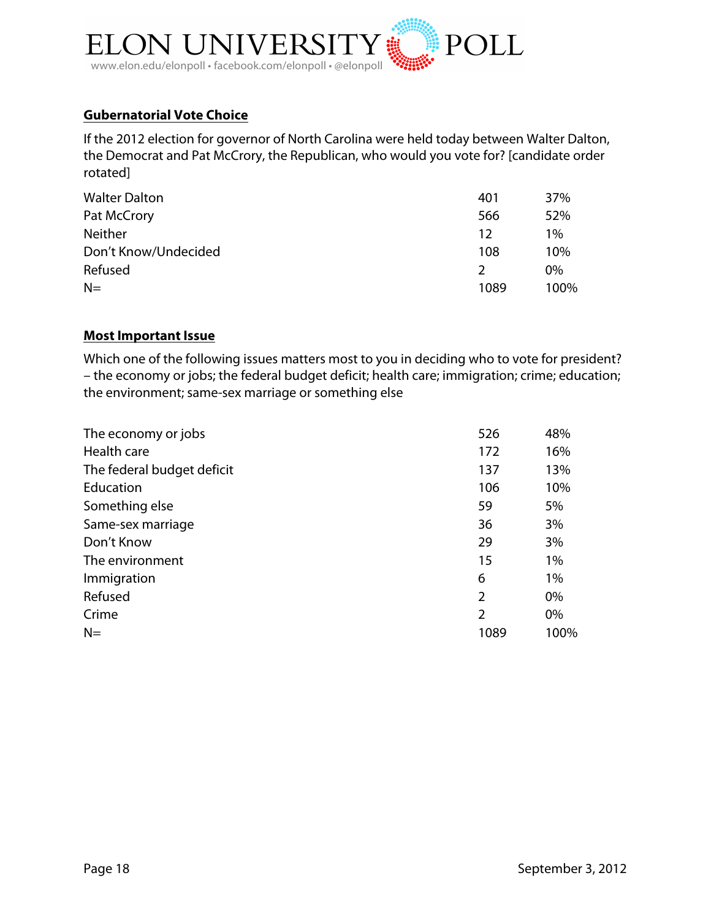

### **Gubernatorial Vote Choice**

If the 2012 election for governor of North Carolina were held today between Walter Dalton, the Democrat and Pat McCrory, the Republican, who would you vote for? [candidate order rotated]

| <b>Walter Dalton</b> | 401           | 37%   |
|----------------------|---------------|-------|
| Pat McCrory          | 566           | 52%   |
| <b>Neither</b>       | 12            | $1\%$ |
| Don't Know/Undecided | 108           | 10%   |
| Refused              | $\mathcal{P}$ | 0%    |
| $N=$                 | 1089          | 100%  |

### **Most Important Issue**

Which one of the following issues matters most to you in deciding who to vote for president? – the economy or jobs; the federal budget deficit; health care; immigration; crime; education; the environment; same-sex marriage or something else

| The economy or jobs        | 526            | 48%   |
|----------------------------|----------------|-------|
| Health care                | 172            | 16%   |
| The federal budget deficit | 137            | 13%   |
| Education                  | 106            | 10%   |
| Something else             | 59             | 5%    |
| Same-sex marriage          | 36             | 3%    |
| Don't Know                 | 29             | 3%    |
| The environment            | 15             | $1\%$ |
| Immigration                | 6              | $1\%$ |
| Refused                    | $\overline{2}$ | $0\%$ |
| Crime                      | $\overline{2}$ | 0%    |
| $N=$                       | 1089           | 100%  |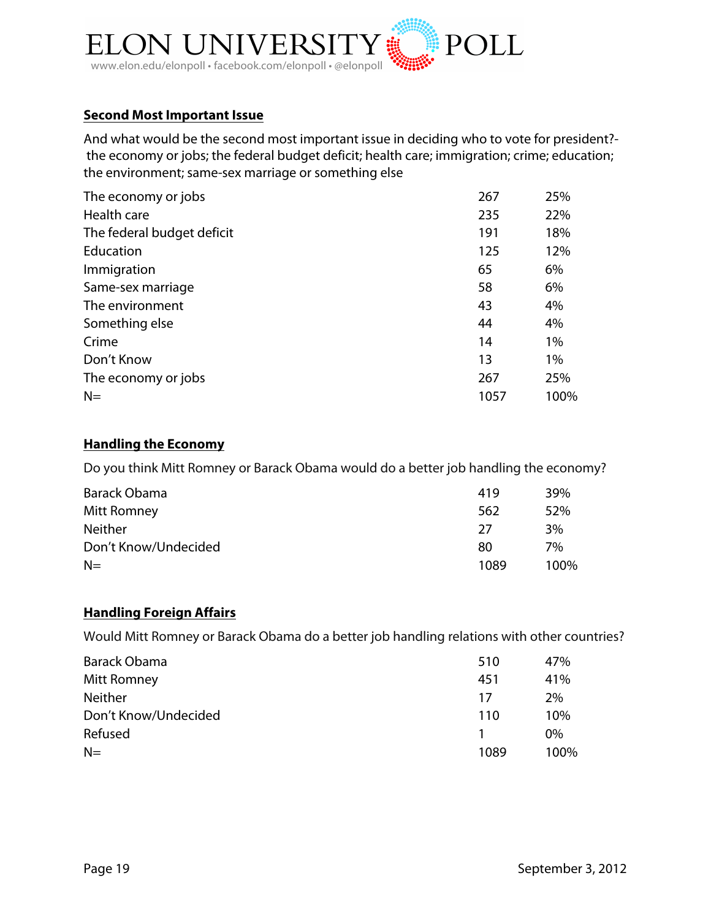

## **Second Most Important Issue**

And what would be the second most important issue in deciding who to vote for president? the economy or jobs; the federal budget deficit; health care; immigration; crime; education; the environment; same-sex marriage or something else

| The economy or jobs        | 267  | 25%  |
|----------------------------|------|------|
| Health care                | 235  | 22%  |
| The federal budget deficit | 191  | 18%  |
| Education                  | 125  | 12%  |
| Immigration                | 65   | 6%   |
| Same-sex marriage          | 58   | 6%   |
| The environment            | 43   | 4%   |
| Something else             | 44   | 4%   |
| Crime                      | 14   | 1%   |
| Don't Know                 | 13   | 1%   |
| The economy or jobs        | 267  | 25%  |
| $N=$                       | 1057 | 100% |

#### **Handling the Economy**

Do you think Mitt Romney or Barack Obama would do a better job handling the economy?

| Barack Obama         | 419  | 39%  |
|----------------------|------|------|
| Mitt Romney          | 562  | 52%  |
| <b>Neither</b>       | 27   | 3%   |
| Don't Know/Undecided | 80   | 7%   |
| $N=$                 | 1089 | 100% |

### **Handling Foreign Affairs**

Would Mitt Romney or Barack Obama do a better job handling relations with other countries?

| Barack Obama         | 510  | 47%   |
|----------------------|------|-------|
| Mitt Romney          | 451  | 41%   |
| <b>Neither</b>       | 17   | 2%    |
| Don't Know/Undecided | 110  | 10%   |
| Refused              |      | $0\%$ |
| $N=$                 | 1089 | 100%  |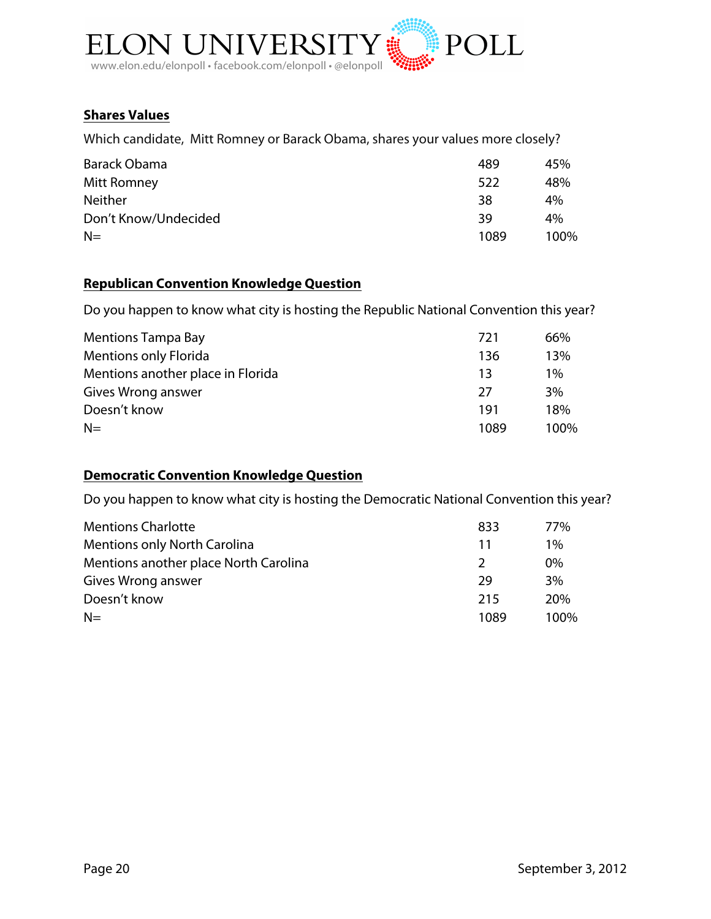

# **Shares Values**

Which candidate, Mitt Romney or Barack Obama, shares your values more closely?

| Barack Obama         | 489  | 45%  |
|----------------------|------|------|
| Mitt Romney          | 522  | 48%  |
| <b>Neither</b>       | 38   | 4%   |
| Don't Know/Undecided | 39   | 4%   |
| $N=$                 | 1089 | 100% |

# **Republican Convention Knowledge Question**

Do you happen to know what city is hosting the Republic National Convention this year?

| <b>Mentions Tampa Bay</b>         | 721  | 66%   |
|-----------------------------------|------|-------|
| <b>Mentions only Florida</b>      | 136  | 13%   |
| Mentions another place in Florida | 13   | $1\%$ |
| Gives Wrong answer                | 27   | 3%    |
| Doesn't know                      | 191  | 18%   |
| $N=$                              | 1089 | 100%  |

# **Democratic Convention Knowledge Question**

Do you happen to know what city is hosting the Democratic National Convention this year?

| <b>Mentions Charlotte</b>             | 833           | 77%        |
|---------------------------------------|---------------|------------|
| <b>Mentions only North Carolina</b>   | 11            | $1\%$      |
| Mentions another place North Carolina | $\mathcal{L}$ | $0\%$      |
| Gives Wrong answer                    | 29            | 3%         |
| Doesn't know                          | 215           | <b>20%</b> |
| $N=$                                  | 1089          | 100%       |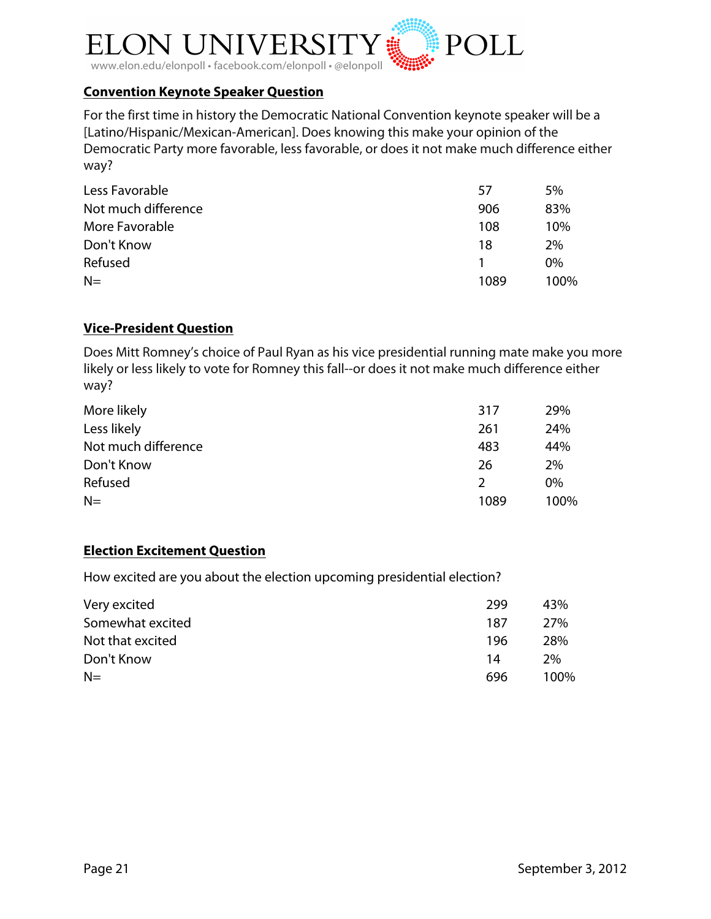

# **Convention Keynote Speaker Question**

For the first time in history the Democratic National Convention keynote speaker will be a [Latino/Hispanic/Mexican-American]. Does knowing this make your opinion of the Democratic Party more favorable, less favorable, or does it not make much difference either way?

| Less Favorable      | 57   | 5%    |
|---------------------|------|-------|
| Not much difference | 906  | 83%   |
| More Favorable      | 108  | 10%   |
| Don't Know          | 18   | 2%    |
| Refused             |      | $0\%$ |
| $N=$                | 1089 | 100%  |

## **Vice-President Question**

Does Mitt Romney's choice of Paul Ryan as his vice presidential running mate make you more likely or less likely to vote for Romney this fall--or does it not make much difference either way?

| More likely         | 317  | 29%   |
|---------------------|------|-------|
| Less likely         | 261  | 24%   |
| Not much difference | 483  | 44%   |
| Don't Know          | 26   | 2%    |
| Refused             | 2    | $0\%$ |
| $N=$                | 1089 | 100%  |

### **Election Excitement Question**

How excited are you about the election upcoming presidential election?

| Very excited     | 299 | 43%  |
|------------------|-----|------|
| Somewhat excited | 187 | 27%  |
| Not that excited | 196 | 28%  |
| Don't Know       | 14  | 2%   |
| $N=$             | 696 | 100% |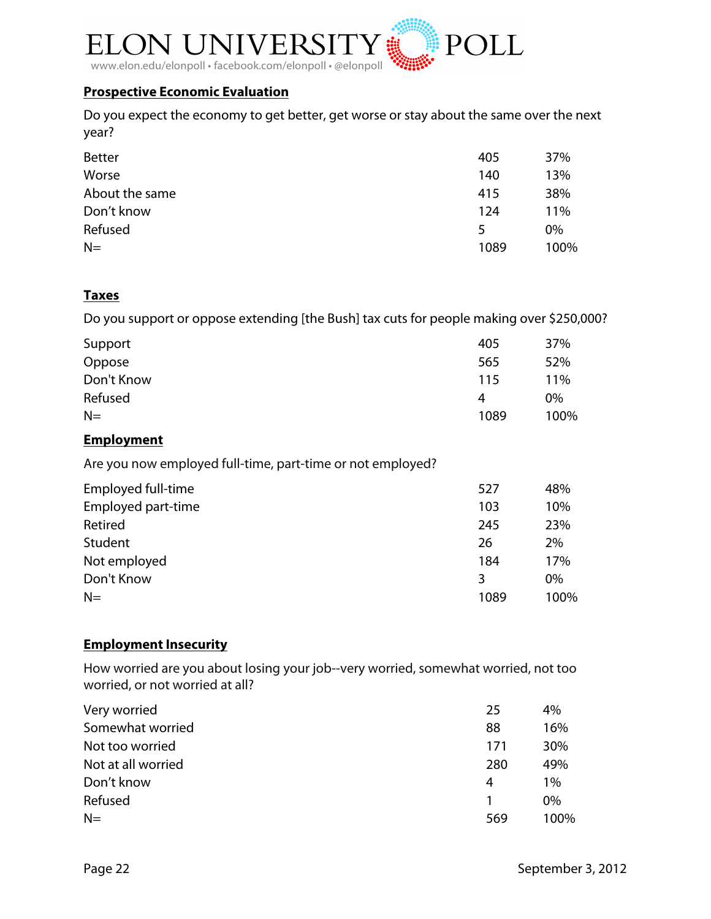

### **Prospective Economic Evaluation**

Do you expect the economy to get better, get worse or stay about the same over the next year?

| <b>Better</b>  | 405  | 37%   |
|----------------|------|-------|
| Worse          | 140  | 13%   |
| About the same | 415  | 38%   |
| Don't know     | 124  | 11%   |
| Refused        | 5    | $0\%$ |
| $N=$           | 1089 | 100%  |

### **Taxes**

Do you support or oppose extending [the Bush] tax cuts for people making over \$250,000?

| Support    | 405  | 37%   |
|------------|------|-------|
| Oppose     | 565  | 52%   |
| Don't Know | 115  | 11%   |
| Refused    | 4    | $0\%$ |
| $N=$       | 1089 | 100%  |

### **Employment**

Are you now employed full-time, part-time or not employed?

| Employed full-time | 527  | 48%   |
|--------------------|------|-------|
| Employed part-time | 103  | 10%   |
| Retired            | 245  | 23%   |
| Student            | 26   | 2%    |
| Not employed       | 184  | 17%   |
| Don't Know         | 3    | $0\%$ |
| $N=$               | 1089 | 100%  |

# **Employment Insecurity**

How worried are you about losing your job--very worried, somewhat worried, not too worried, or not worried at all?

| Very worried       | 25  | 4%    |
|--------------------|-----|-------|
| Somewhat worried   | 88  | 16%   |
| Not too worried    | 171 | 30%   |
| Not at all worried | 280 | 49%   |
| Don't know         | 4   | $1\%$ |
| Refused            |     | $0\%$ |
| $N=$               | 569 | 100%  |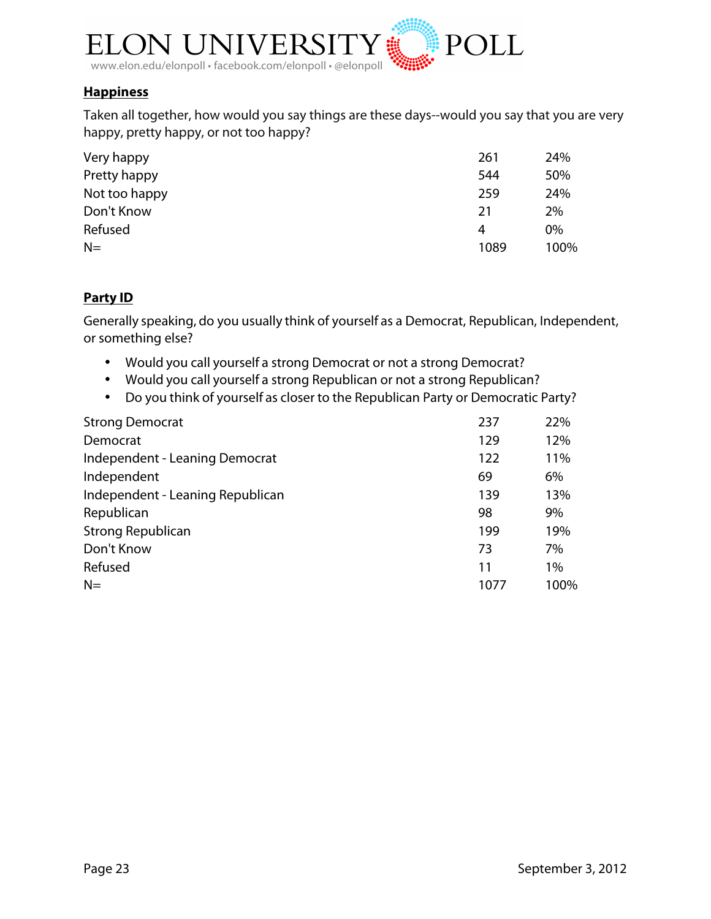

### **Happiness**

Taken all together, how would you say things are these days--would you say that you are very happy, pretty happy, or not too happy?

| Very happy    | 261  | 24%   |
|---------------|------|-------|
| Pretty happy  | 544  | 50%   |
| Not too happy | 259  | 24%   |
| Don't Know    | 21   | 2%    |
| Refused       | 4    | $0\%$ |
| $N=$          | 1089 | 100%  |

## **Party ID**

Generally speaking, do you usually think of yourself as a Democrat, Republican, Independent, or something else?

- Would you call yourself a strong Democrat or not a strong Democrat?
- Would you call yourself a strong Republican or not a strong Republican?
- Do you think of yourself as closer to the Republican Party or Democratic Party?

| <b>Strong Democrat</b>           | 237  | 22%  |
|----------------------------------|------|------|
| Democrat                         | 129  | 12%  |
| Independent - Leaning Democrat   | 122  | 11%  |
| Independent                      | 69   | 6%   |
| Independent - Leaning Republican | 139  | 13%  |
| Republican                       | 98   | 9%   |
| <b>Strong Republican</b>         | 199  | 19%  |
| Don't Know                       | 73   | 7%   |
| Refused                          | 11   | 1%   |
| $N=$                             | 1077 | 100% |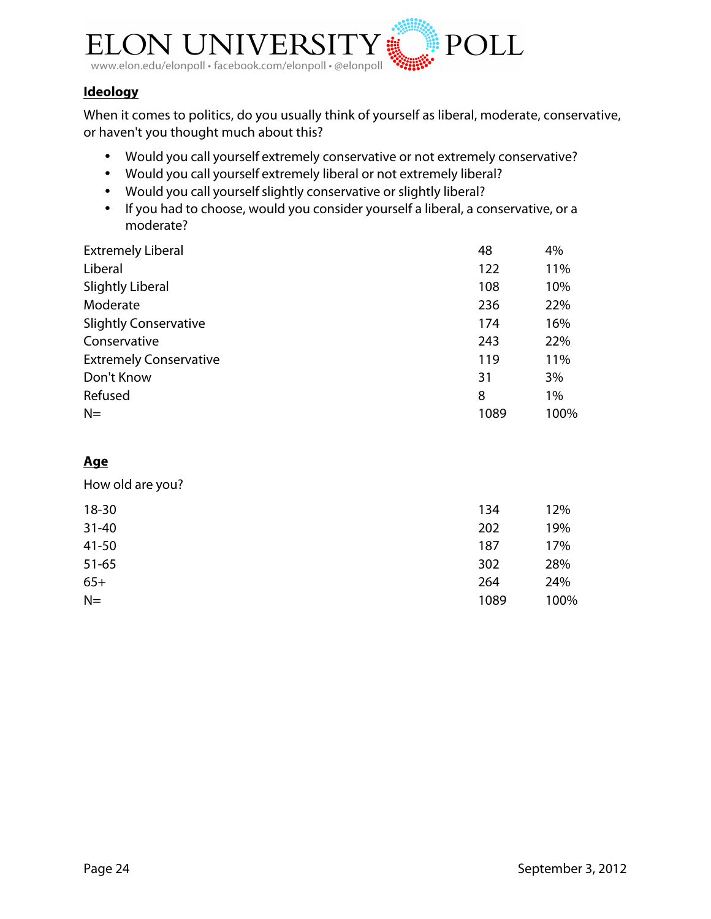

# **Ideology**

When it comes to politics, do you usually think of yourself as liberal, moderate, conservative, or haven't you thought much about this?

- Would you call yourself extremely conservative or not extremely conservative?
- Would you call yourself extremely liberal or not extremely liberal?
- Would you call yourselfslightly conservative or slightly liberal?
- If you had to choose, would you consider yourself a liberal, a conservative, or a moderate?

| <b>Extremely Liberal</b>      | 48   | 4%   |
|-------------------------------|------|------|
| Liberal                       | 122  | 11%  |
| <b>Slightly Liberal</b>       | 108  | 10%  |
| Moderate                      | 236  | 22%  |
| <b>Slightly Conservative</b>  | 174  | 16%  |
| Conservative                  | 243  | 22%  |
| <b>Extremely Conservative</b> | 119  | 11%  |
| Don't Know                    | 31   | 3%   |
| Refused                       | 8    | 1%   |
| $N=$                          | 1089 | 100% |

# **Age**

How old are you?

| $18 - 30$ | 134  | 12%  |
|-----------|------|------|
| $31 - 40$ | 202  | 19%  |
| $41 - 50$ | 187  | 17%  |
| $51 - 65$ | 302  | 28%  |
| $65+$     | 264  | 24%  |
| $N=$      | 1089 | 100% |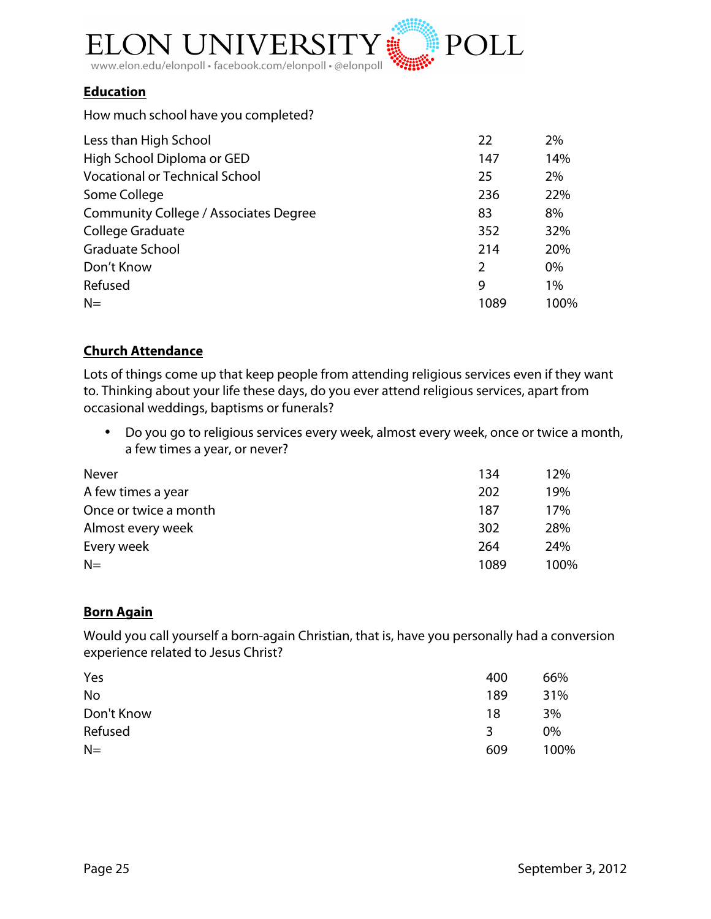

### **Education**

How much school have you completed?

| Less than High School                        | 22             | 2%   |
|----------------------------------------------|----------------|------|
| High School Diploma or GED                   | 147            | 14%  |
| <b>Vocational or Technical School</b>        | 25             | 2%   |
| Some College                                 | 236            | 22%  |
| <b>Community College / Associates Degree</b> | 83             | 8%   |
| College Graduate                             | 352            | 32%  |
| <b>Graduate School</b>                       | 214            | 20%  |
| Don't Know                                   | $\overline{2}$ | 0%   |
| Refused                                      | 9              | 1%   |
| $N=$                                         | 1089           | 100% |

## **Church Attendance**

Lots of things come up that keep people from attending religious services even if they want to. Thinking about your life these days, do you ever attend religious services, apart from occasional weddings, baptisms or funerals?

• Do you go to religious services every week, almost every week, once or twice a month, a few times a year, or never?

| Never                 | 134  | 12%  |
|-----------------------|------|------|
| A few times a year    | 202  | 19%  |
| Once or twice a month | 187  | 17%  |
| Almost every week     | 302  | 28%  |
| Every week            | 264  | 24%  |
| $N=$                  | 1089 | 100% |

### **Born Again**

Would you call yourself a born-again Christian, that is, have you personally had a conversion experience related to Jesus Christ?

| Yes        | 400 | 66%  |
|------------|-----|------|
| <b>No</b>  | 189 | 31%  |
| Don't Know | 18  | 3%   |
| Refused    | 3   | 0%   |
| $N=$       | 609 | 100% |